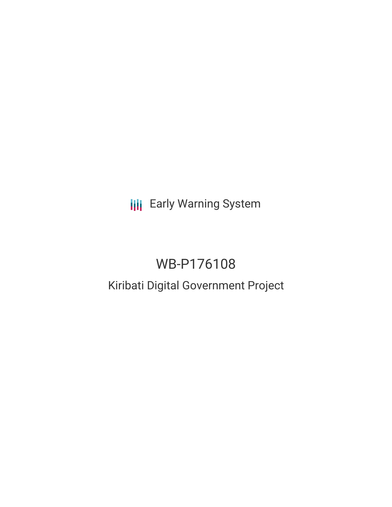**III** Early Warning System

# WB-P176108

# Kiribati Digital Government Project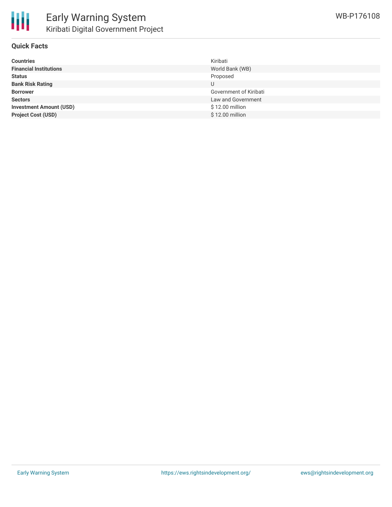

#### **Quick Facts**

| <b>Countries</b>               | Kiribati               |
|--------------------------------|------------------------|
| <b>Financial Institutions</b>  | World Bank (WB)        |
| <b>Status</b>                  | Proposed               |
| <b>Bank Risk Rating</b>        | U                      |
| <b>Borrower</b>                | Government of Kiribati |
| <b>Sectors</b>                 | Law and Government     |
| <b>Investment Amount (USD)</b> | \$12.00 million        |
| <b>Project Cost (USD)</b>      | \$12.00 million        |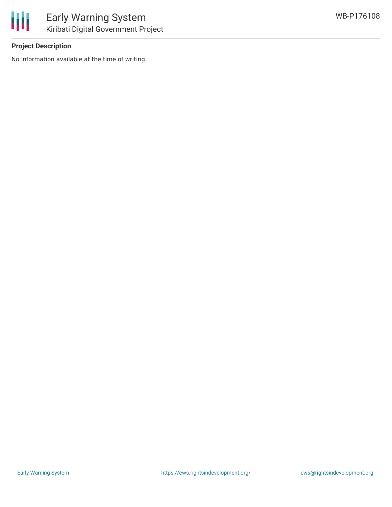

## **Project Description**

No information available at the time of writing.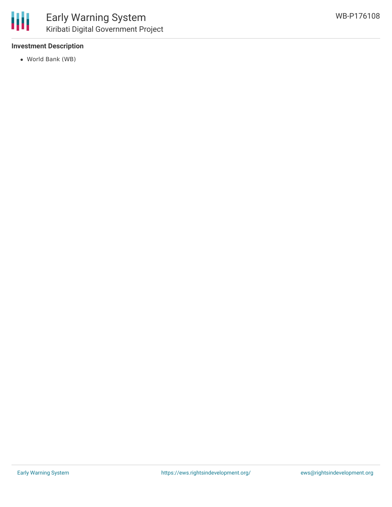#### **Investment Description**

World Bank (WB)